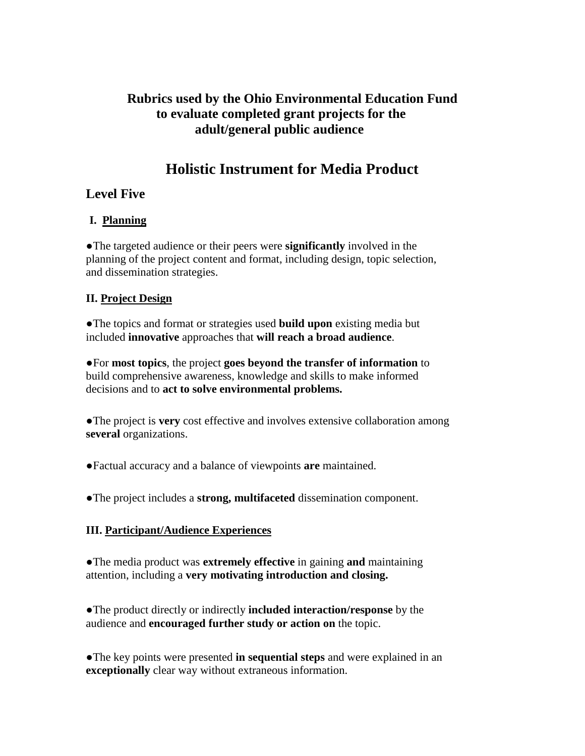## **Rubrics used by the Ohio Environmental Education Fund to evaluate completed grant projects for the adult/general public audience**

# **Holistic Instrument for Media Product**

## **Level Five**

## **I. Planning**

●The targeted audience or their peers were **significantly** involved in the planning of the project content and format, including design, topic selection, and dissemination strategies.

## **II. Project Design**

●The topics and format or strategies used **build upon** existing media but included **innovative** approaches that **will reach a broad audience**.

●For **most topics**, the project **goes beyond the transfer of information** to build comprehensive awareness, knowledge and skills to make informed decisions and to **act to solve environmental problems.** 

●The project is **very** cost effective and involves extensive collaboration among **several** organizations.

●Factual accuracy and a balance of viewpoints **are** maintained.

●The project includes a **strong, multifaceted** dissemination component.

## **III. Participant/Audience Experiences**

●The media product was **extremely effective** in gaining **and** maintaining attention, including a **very motivating introduction and closing.** 

●The product directly or indirectly **included interaction/response** by the audience and **encouraged further study or action on** the topic.

●The key points were presented **in sequential steps** and were explained in an **exceptionally** clear way without extraneous information.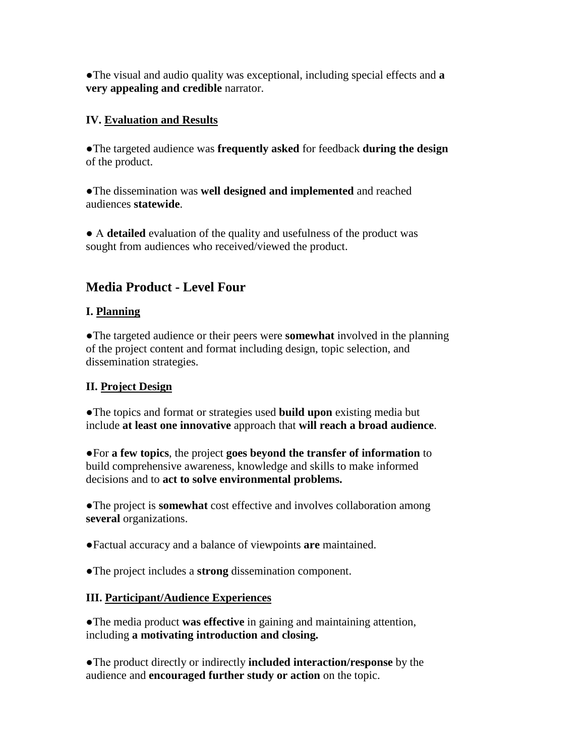●The visual and audio quality was exceptional, including special effects and **a very appealing and credible** narrator.

#### **IV. Evaluation and Results**

●The targeted audience was **frequently asked** for feedback **during the design** of the product.

●The dissemination was **well designed and implemented** and reached audiences **statewide**.

● A **detailed** evaluation of the quality and usefulness of the product was sought from audiences who received/viewed the product.

## **Media Product - Level Four**

### **I. Planning**

●The targeted audience or their peers were **somewhat** involved in the planning of the project content and format including design, topic selection, and dissemination strategies.

## **II. Project Design**

●The topics and format or strategies used **build upon** existing media but include **at least one innovative** approach that **will reach a broad audience**.

●For **a few topics**, the project **goes beyond the transfer of information** to build comprehensive awareness, knowledge and skills to make informed decisions and to **act to solve environmental problems.** 

●The project is **somewhat** cost effective and involves collaboration among **several** organizations.

●Factual accuracy and a balance of viewpoints **are** maintained.

●The project includes a **strong** dissemination component.

## **III. Participant/Audience Experiences**

●The media product **was effective** in gaining and maintaining attention, including **a motivating introduction and closing.** 

●The product directly or indirectly **included interaction/response** by the audience and **encouraged further study or action** on the topic.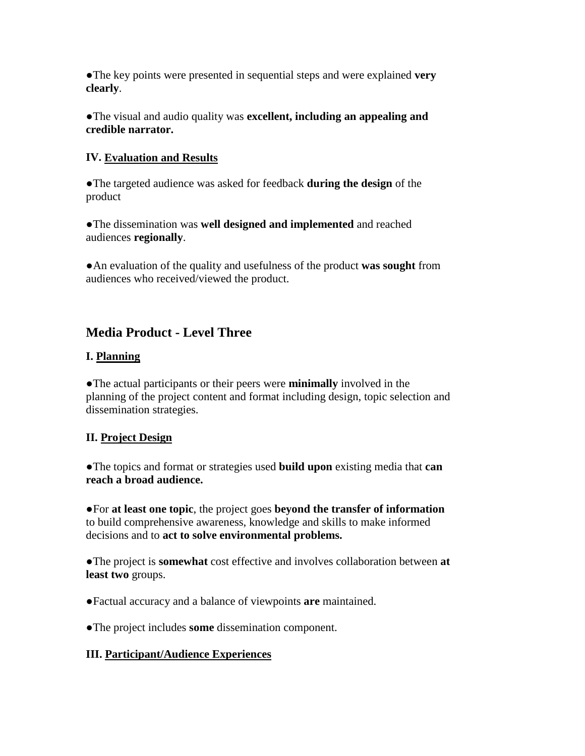●The key points were presented in sequential steps and were explained **very clearly**.

●The visual and audio quality was **excellent, including an appealing and credible narrator.** 

#### **IV. Evaluation and Results**

●The targeted audience was asked for feedback **during the design** of the product

●The dissemination was **well designed and implemented** and reached audiences **regionally**.

●An evaluation of the quality and usefulness of the product **was sought** from audiences who received/viewed the product.

# **Media Product - Level Three**

### **I. Planning**

●The actual participants or their peers were **minimally** involved in the planning of the project content and format including design, topic selection and dissemination strategies.

#### **II. Project Design**

●The topics and format or strategies used **build upon** existing media that **can reach a broad audience.** 

●For **at least one topic**, the project goes **beyond the transfer of information** to build comprehensive awareness, knowledge and skills to make informed decisions and to **act to solve environmental problems.** 

●The project is **somewhat** cost effective and involves collaboration between **at least two** groups.

●Factual accuracy and a balance of viewpoints **are** maintained.

●The project includes **some** dissemination component.

#### **III. Participant/Audience Experiences**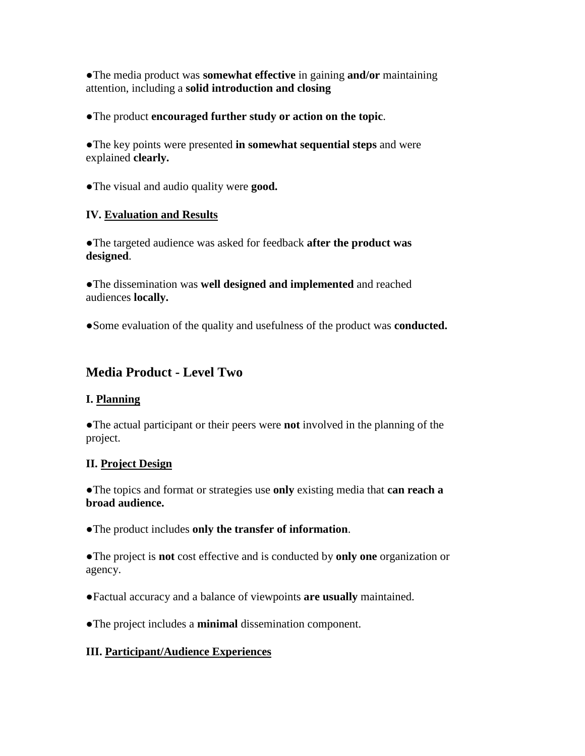●The media product was **somewhat effective** in gaining **and/or** maintaining attention, including a **solid introduction and closing**

●The product **encouraged further study or action on the topic**.

●The key points were presented **in somewhat sequential steps** and were explained **clearly.**

●The visual and audio quality were **good.**

## **IV. Evaluation and Results**

●The targeted audience was asked for feedback **after the product was designed**.

●The dissemination was **well designed and implemented** and reached audiences **locally.**

●Some evaluation of the quality and usefulness of the product was **conducted.**

# **Media Product - Level Two**

## **I. Planning**

●The actual participant or their peers were **not** involved in the planning of the project.

#### **II. Project Design**

●The topics and format or strategies use **only** existing media that **can reach a broad audience.** 

●The product includes **only the transfer of information**.

●The project is **not** cost effective and is conducted by **only one** organization or agency.

●Factual accuracy and a balance of viewpoints **are usually** maintained.

●The project includes a **minimal** dissemination component.

## **III. Participant/Audience Experiences**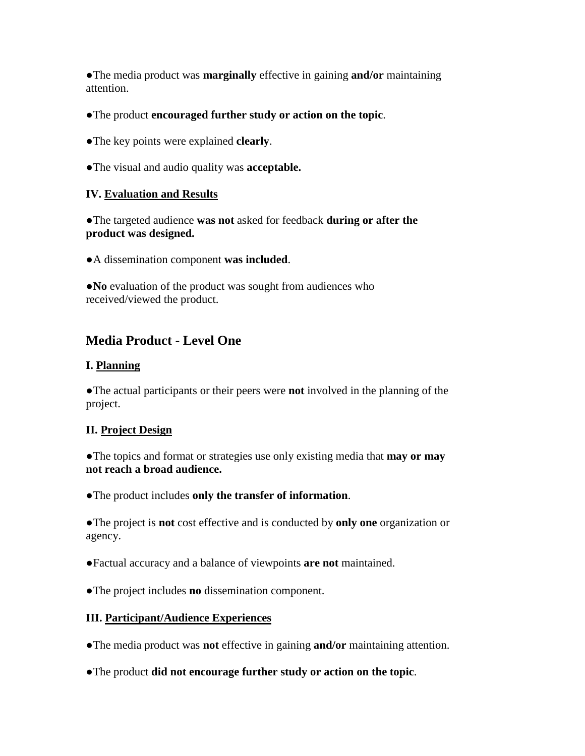●The media product was **marginally** effective in gaining **and/or** maintaining attention.

- ●The product **encouraged further study or action on the topic**.
- ●The key points were explained **clearly**.
- ●The visual and audio quality was **acceptable.**

### **IV. Evaluation and Results**

●The targeted audience **was not** asked for feedback **during or after the product was designed.** 

●A dissemination component **was included**.

●**No** evaluation of the product was sought from audiences who received/viewed the product.

# **Media Product - Level One**

#### **I. Planning**

●The actual participants or their peers were **not** involved in the planning of the project.

#### **II. Project Design**

●The topics and format or strategies use only existing media that **may or may not reach a broad audience.** 

●The product includes **only the transfer of information**.

●The project is **not** cost effective and is conducted by **only one** organization or agency.

●Factual accuracy and a balance of viewpoints **are not** maintained.

●The project includes **no** dissemination component.

## **III. Participant/Audience Experiences**

●The media product was **not** effective in gaining **and/or** maintaining attention.

●The product **did not encourage further study or action on the topic**.